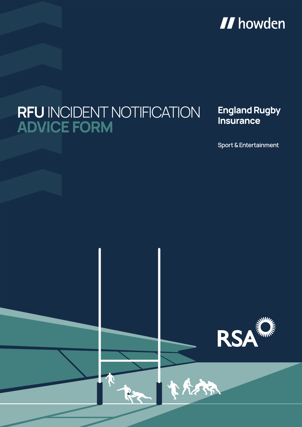# **II** howden

# **RFU** INCIDENT NOTIFICATION **ADVICE FORM**

#### **England Rugby Insurance**

**Sport & Entertainment**



小宝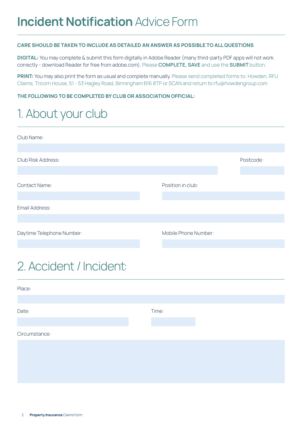#### **CARE SHOULD BE TAKEN TO INCLUDE AS DETAILED AN ANSWER AS POSSIBLE TO ALL QUESTIONS**

**DIGITAL:** You may complete & submit this form digitally in Adobe Reader (many third-party PDF apps will not work correctly - download Reader for free from adobe.com). Please **COMPLETE, SAVE** and use the **SUBMIT** button.

**PRINT:** You may also print the form as usual and complete manually. Please send completed forms to: Howden, RFU Claims, Tricorn House, 51 - 53 Hagley Road, Birmingham B16 8TP or SCAN and return to rfu@howdengroup.com

#### **THE FOLLOWING TO BE COMPLETED BY CLUB OR ASSOCIATION OFFICIAL:**

### 1. About your club

| Club Name:                |                      |           |
|---------------------------|----------------------|-----------|
|                           |                      |           |
| Club Risk Address:        |                      | Postcode: |
|                           |                      |           |
| <b>Contact Name:</b>      | Position in club:    |           |
|                           |                      |           |
| Email Address:            |                      |           |
|                           |                      |           |
| Daytime Telephone Number: | Mobile Phone Number: |           |
|                           |                      |           |

### 2. Accident / Incident:

| Place:        |       |  |
|---------------|-------|--|
|               |       |  |
| Date:         | Time: |  |
| Circumstance: |       |  |
|               |       |  |
|               |       |  |
|               |       |  |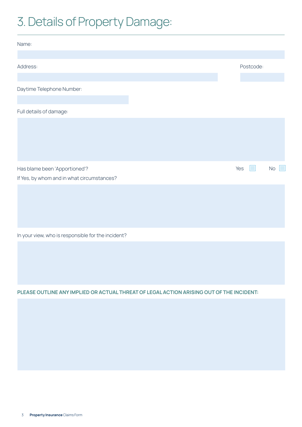## 3. Details of Property Damage:

| Name:                                      |           |         |
|--------------------------------------------|-----------|---------|
|                                            |           |         |
| Address:                                   | Postcode: |         |
|                                            |           |         |
| Daytime Telephone Number:                  |           |         |
|                                            |           |         |
| Full details of damage:                    |           |         |
|                                            |           |         |
|                                            |           |         |
|                                            |           |         |
|                                            |           |         |
| Has blame been 'Apportioned'?              | Yes<br>ш  | П<br>No |
| If Yes, by whom and in what circumstances? |           |         |
|                                            |           |         |
|                                            |           |         |
|                                            |           |         |
|                                            |           |         |

In your view, who is responsible for the incident?

**PLEASE OUTLINE ANY IMPLIED OR ACTUAL THREAT OF LEGAL ACTION ARISING OUT OF THE INCIDENT:**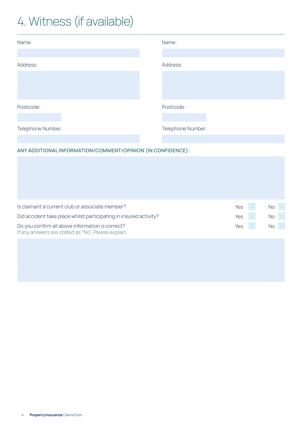# 4. Witness (if available)

| Name:             | Name:             |
|-------------------|-------------------|
|                   |                   |
| Address:          | Address:          |
|                   |                   |
|                   |                   |
|                   |                   |
| Postcode:         | Postcode:         |
|                   |                   |
| Telephone Number: | Telephone Number: |
|                   |                   |
|                   |                   |

#### **ANY ADDITIONAL INFORMATION/COMMENT/OPINION (IN CONFIDENCE):**

| Is claimant a current club or associate member?                                                        | Yes | <b>No</b> |
|--------------------------------------------------------------------------------------------------------|-----|-----------|
| Did accident take place whilst participating in insured activity?                                      | Yes | <b>No</b> |
| Do you confirm all above information is correct?<br>If any answers are stated as "No", Please explain: | Yes | No        |
|                                                                                                        |     |           |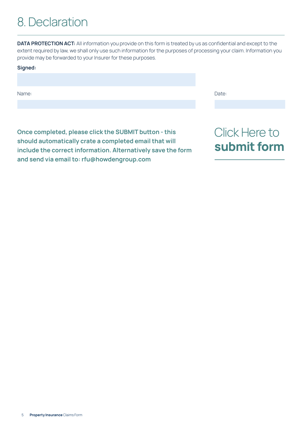### 8. Declaration

**DATA PROTECTION ACT:** All information you provide on this form is treated by us as confidential and except to the extent required by law, we shall only use such information for the purposes of processing your claim. Information you provide may be forwarded to your Insurer for these purposes.

| Signed: |       |
|---------|-------|
|         |       |
|         |       |
| Name:   | Date: |
|         |       |

**Once completed, please click the SUBMIT button - this should automatically crate a completed email that will include the correct information. Alternatively save the form and send via email to: rfu@howdengroup.com**

### Click Here to **submit form**